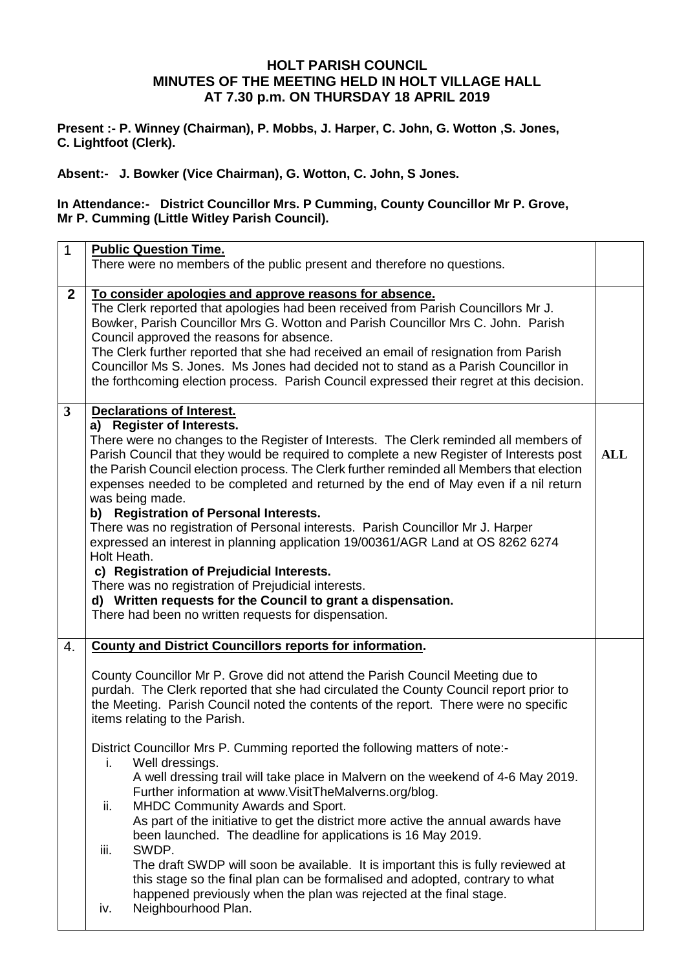## **HOLT PARISH COUNCIL MINUTES OF THE MEETING HELD IN HOLT VILLAGE HALL AT 7.30 p.m. ON THURSDAY 18 APRIL 2019**

**Present :- P. Winney (Chairman), P. Mobbs, J. Harper, C. John, G. Wotton ,S. Jones, C. Lightfoot (Clerk).**

### **Absent:- J. Bowker (Vice Chairman), G. Wotton, C. John, S Jones.**

## **In Attendance:- District Councillor Mrs. P Cumming, County Councillor Mr P. Grove, Mr P. Cumming (Little Witley Parish Council).**

| $\mathbf{1}$ | <b>Public Question Time.</b><br>There were no members of the public present and therefore no questions.                                                                                                                                                                                                                                                                                                                                                                                                                                                                                                                                                                                                                                                                                                                                                                                                                                                                                                                                                                                                          |            |
|--------------|------------------------------------------------------------------------------------------------------------------------------------------------------------------------------------------------------------------------------------------------------------------------------------------------------------------------------------------------------------------------------------------------------------------------------------------------------------------------------------------------------------------------------------------------------------------------------------------------------------------------------------------------------------------------------------------------------------------------------------------------------------------------------------------------------------------------------------------------------------------------------------------------------------------------------------------------------------------------------------------------------------------------------------------------------------------------------------------------------------------|------------|
| $\mathbf{2}$ | To consider apologies and approve reasons for absence.<br>The Clerk reported that apologies had been received from Parish Councillors Mr J.<br>Bowker, Parish Councillor Mrs G. Wotton and Parish Councillor Mrs C. John. Parish<br>Council approved the reasons for absence.<br>The Clerk further reported that she had received an email of resignation from Parish<br>Councillor Ms S. Jones. Ms Jones had decided not to stand as a Parish Councillor in<br>the forthcoming election process. Parish Council expressed their regret at this decision.                                                                                                                                                                                                                                                                                                                                                                                                                                                                                                                                                        |            |
| $3^{\circ}$  | <b>Declarations of Interest.</b><br>a) Register of Interests.<br>There were no changes to the Register of Interests. The Clerk reminded all members of<br>Parish Council that they would be required to complete a new Register of Interests post<br>the Parish Council election process. The Clerk further reminded all Members that election<br>expenses needed to be completed and returned by the end of May even if a nil return<br>was being made.<br>b) Registration of Personal Interests.<br>There was no registration of Personal interests. Parish Councillor Mr J. Harper<br>expressed an interest in planning application 19/00361/AGR Land at OS 8262 6274<br>Holt Heath.<br>c) Registration of Prejudicial Interests.<br>There was no registration of Prejudicial interests.<br>d) Written requests for the Council to grant a dispensation.<br>There had been no written requests for dispensation.                                                                                                                                                                                              | <b>ALL</b> |
| 4.           | <b>County and District Councillors reports for information.</b><br>County Councillor Mr P. Grove did not attend the Parish Council Meeting due to<br>purdah. The Clerk reported that she had circulated the County Council report prior to<br>the Meeting. Parish Council noted the contents of the report. There were no specific<br>items relating to the Parish.<br>District Councillor Mrs P. Cumming reported the following matters of note:-<br>i.<br>Well dressings.<br>A well dressing trail will take place in Malvern on the weekend of 4-6 May 2019.<br>Further information at www.VisitTheMalverns.org/blog.<br>MHDC Community Awards and Sport.<br>ii.<br>As part of the initiative to get the district more active the annual awards have<br>been launched. The deadline for applications is 16 May 2019.<br>SWDP.<br>iii.<br>The draft SWDP will soon be available. It is important this is fully reviewed at<br>this stage so the final plan can be formalised and adopted, contrary to what<br>happened previously when the plan was rejected at the final stage.<br>Neighbourhood Plan.<br>iv. |            |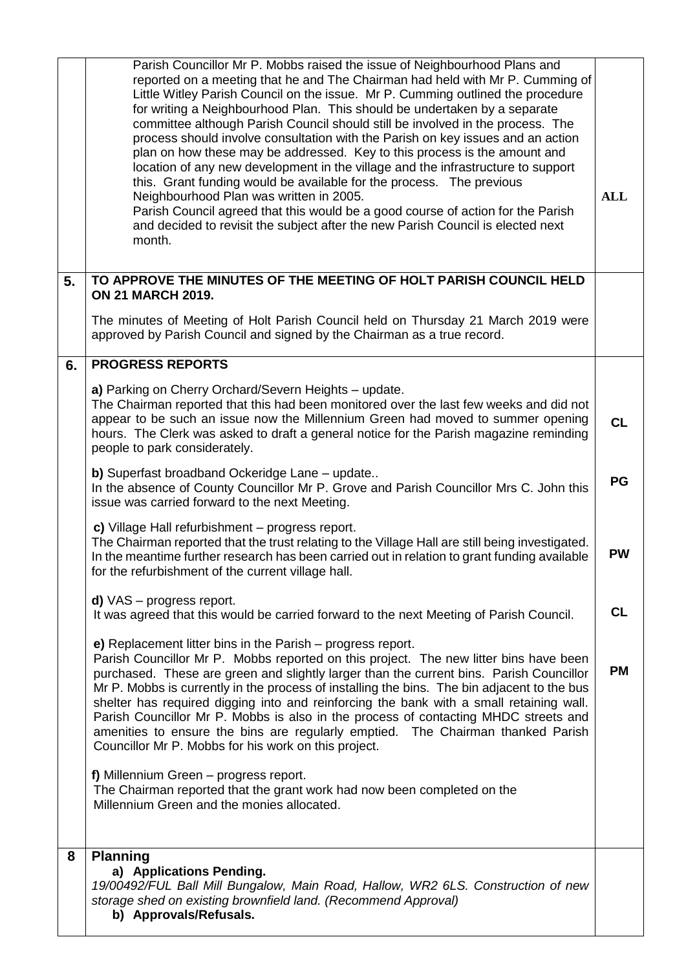|    | Parish Councillor Mr P. Mobbs raised the issue of Neighbourhood Plans and<br>reported on a meeting that he and The Chairman had held with Mr P. Cumming of<br>Little Witley Parish Council on the issue. Mr P. Cumming outlined the procedure<br>for writing a Neighbourhood Plan. This should be undertaken by a separate<br>committee although Parish Council should still be involved in the process. The<br>process should involve consultation with the Parish on key issues and an action<br>plan on how these may be addressed. Key to this process is the amount and<br>location of any new development in the village and the infrastructure to support<br>this. Grant funding would be available for the process. The previous<br>Neighbourhood Plan was written in 2005.<br>Parish Council agreed that this would be a good course of action for the Parish<br>and decided to revisit the subject after the new Parish Council is elected next<br>month. | <b>ALL</b> |
|----|---------------------------------------------------------------------------------------------------------------------------------------------------------------------------------------------------------------------------------------------------------------------------------------------------------------------------------------------------------------------------------------------------------------------------------------------------------------------------------------------------------------------------------------------------------------------------------------------------------------------------------------------------------------------------------------------------------------------------------------------------------------------------------------------------------------------------------------------------------------------------------------------------------------------------------------------------------------------|------------|
| 5. | TO APPROVE THE MINUTES OF THE MEETING OF HOLT PARISH COUNCIL HELD<br><b>ON 21 MARCH 2019.</b>                                                                                                                                                                                                                                                                                                                                                                                                                                                                                                                                                                                                                                                                                                                                                                                                                                                                       |            |
|    | The minutes of Meeting of Holt Parish Council held on Thursday 21 March 2019 were<br>approved by Parish Council and signed by the Chairman as a true record.                                                                                                                                                                                                                                                                                                                                                                                                                                                                                                                                                                                                                                                                                                                                                                                                        |            |
| 6. | <b>PROGRESS REPORTS</b>                                                                                                                                                                                                                                                                                                                                                                                                                                                                                                                                                                                                                                                                                                                                                                                                                                                                                                                                             |            |
|    | a) Parking on Cherry Orchard/Severn Heights - update.<br>The Chairman reported that this had been monitored over the last few weeks and did not<br>appear to be such an issue now the Millennium Green had moved to summer opening<br>hours. The Clerk was asked to draft a general notice for the Parish magazine reminding<br>people to park considerately.                                                                                                                                                                                                                                                                                                                                                                                                                                                                                                                                                                                                       | <b>CL</b>  |
|    | <b>b)</b> Superfast broadband Ockeridge Lane - update<br>In the absence of County Councillor Mr P. Grove and Parish Councillor Mrs C. John this<br>issue was carried forward to the next Meeting.                                                                                                                                                                                                                                                                                                                                                                                                                                                                                                                                                                                                                                                                                                                                                                   | PG         |
|    | c) Village Hall refurbishment - progress report.<br>The Chairman reported that the trust relating to the Village Hall are still being investigated.<br>In the meantime further research has been carried out in relation to grant funding available<br>for the refurbishment of the current village hall.                                                                                                                                                                                                                                                                                                                                                                                                                                                                                                                                                                                                                                                           | <b>PW</b>  |
|    | $d)$ VAS – progress report.<br>It was agreed that this would be carried forward to the next Meeting of Parish Council.                                                                                                                                                                                                                                                                                                                                                                                                                                                                                                                                                                                                                                                                                                                                                                                                                                              | <b>CL</b>  |
|    | e) Replacement litter bins in the Parish – progress report.<br>Parish Councillor Mr P. Mobbs reported on this project. The new litter bins have been<br>purchased. These are green and slightly larger than the current bins. Parish Councillor<br>Mr P. Mobbs is currently in the process of installing the bins. The bin adjacent to the bus<br>shelter has required digging into and reinforcing the bank with a small retaining wall.<br>Parish Councillor Mr P. Mobbs is also in the process of contacting MHDC streets and<br>amenities to ensure the bins are regularly emptied. The Chairman thanked Parish<br>Councillor Mr P. Mobbs for his work on this project.                                                                                                                                                                                                                                                                                         | <b>PM</b>  |
|    | f) Millennium Green - progress report.<br>The Chairman reported that the grant work had now been completed on the<br>Millennium Green and the monies allocated.                                                                                                                                                                                                                                                                                                                                                                                                                                                                                                                                                                                                                                                                                                                                                                                                     |            |
| 8  | <b>Planning</b><br>a) Applications Pending.<br>19/00492/FUL Ball Mill Bungalow, Main Road, Hallow, WR2 6LS. Construction of new<br>storage shed on existing brownfield land. (Recommend Approval)<br>b) Approvals/Refusals.                                                                                                                                                                                                                                                                                                                                                                                                                                                                                                                                                                                                                                                                                                                                         |            |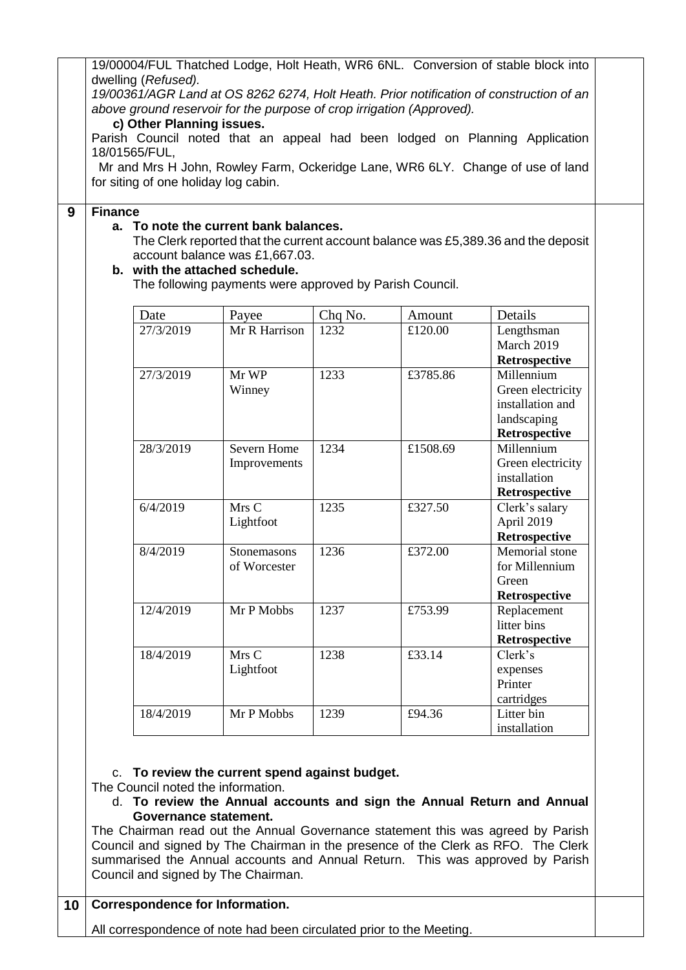19/00004/FUL Thatched Lodge, Holt Heath, WR6 6NL. Conversion of stable block into dwelling (*Refused).*

*19/00361/AGR Land at OS 8262 6274, Holt Heath. Prior notification of construction of an above ground reservoir for the purpose of crop irrigation (Approved).*

### **c) Other Planning issues.**

Parish Council noted that an appeal had been lodged on Planning Application 18/01565/FUL,

 Mr and Mrs H John, Rowley Farm, Ockeridge Lane, WR6 6LY. Change of use of land for siting of one holiday log cabin.

#### **9 Finance**

### **a. To note the current bank balances.**

The Clerk reported that the current account balance was £5,389.36 and the deposit account balance was £1,667.03.

#### **b. with the attached schedule.**

The following payments were approved by Parish Council.

| Date      | Payee         | Chq No. | Amount   | Details           |
|-----------|---------------|---------|----------|-------------------|
| 27/3/2019 | Mr R Harrison | 1232    | £120.00  | Lengthsman        |
|           |               |         |          | March 2019        |
|           |               |         |          | Retrospective     |
| 27/3/2019 | Mr WP         | 1233    | £3785.86 | Millennium        |
|           | Winney        |         |          | Green electricity |
|           |               |         |          | installation and  |
|           |               |         |          | landscaping       |
|           |               |         |          | Retrospective     |
| 28/3/2019 | Severn Home   | 1234    | £1508.69 | Millennium        |
|           | Improvements  |         |          | Green electricity |
|           |               |         |          | installation      |
|           |               |         |          | Retrospective     |
| 6/4/2019  | Mrs C         | 1235    | £327.50  | Clerk's salary    |
|           | Lightfoot     |         |          | April 2019        |
|           |               |         |          | Retrospective     |
| 8/4/2019  | Stonemasons   | 1236    | £372.00  | Memorial stone    |
|           | of Worcester  |         |          | for Millennium    |
|           |               |         |          | Green             |
|           |               |         |          | Retrospective     |
| 12/4/2019 | Mr P Mobbs    | 1237    | £753.99  | Replacement       |
|           |               |         |          | litter bins       |
|           |               |         |          | Retrospective     |
| 18/4/2019 | Mrs C         | 1238    | £33.14   | Clerk's           |
|           | Lightfoot     |         |          | expenses          |
|           |               |         |          | Printer           |
|           |               |         |          | cartridges        |
| 18/4/2019 | Mr P Mobbs    | 1239    | £94.36   | Litter bin        |
|           |               |         |          | installation      |

#### c. **To review the current spend against budget.**

- The Council noted the information.
	- d. **To review the Annual accounts and sign the Annual Return and Annual Governance statement.**

The Chairman read out the Annual Governance statement this was agreed by Parish Council and signed by The Chairman in the presence of the Clerk as RFO. The Clerk summarised the Annual accounts and Annual Return. This was approved by Parish Council and signed by The Chairman.

# **10 Correspondence for Information.**

All correspondence of note had been circulated prior to the Meeting.